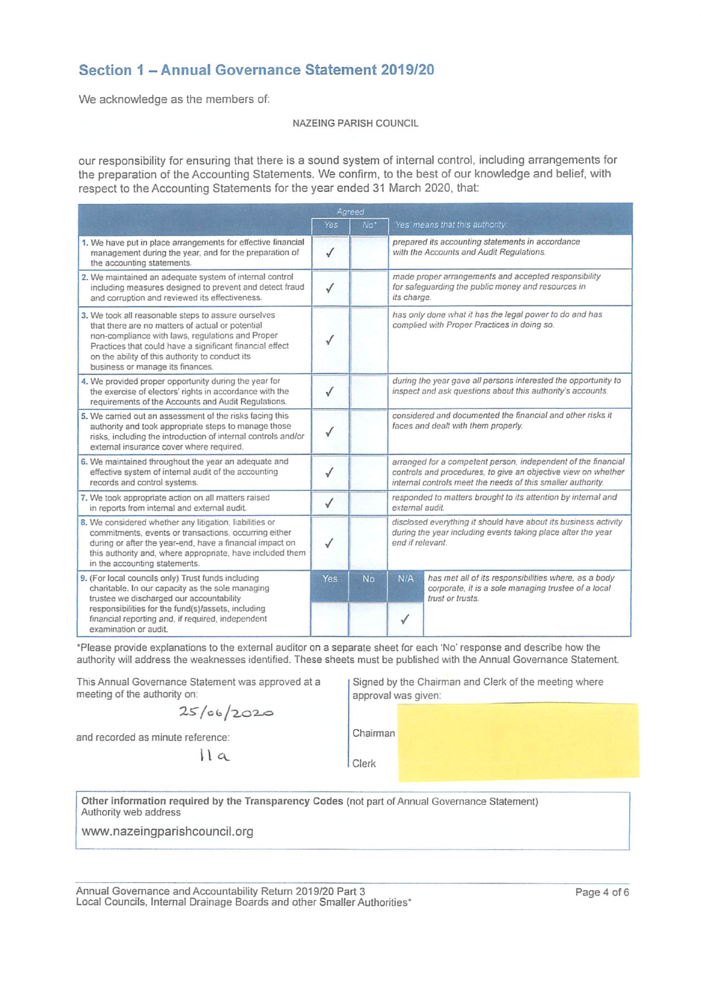## Section 1 - Annual Governance Statement 2019/20

We acknowledge as the members of:

#### NA2EING PARISH COUNCIL

our responsibility for ensuring that there is a sound system of internal control, including arrangements for the preparation of the Accounting Statements. We confirm, to the best of our knowledge and belief, with respect to the Accounting Statements for the year ended 31 March 2020, that:

|                                                                                                                                                                                                                                                                                                                |              | Aareed    |                                                                                                                                                                                               |                                                                                                                                 |  |
|----------------------------------------------------------------------------------------------------------------------------------------------------------------------------------------------------------------------------------------------------------------------------------------------------------------|--------------|-----------|-----------------------------------------------------------------------------------------------------------------------------------------------------------------------------------------------|---------------------------------------------------------------------------------------------------------------------------------|--|
|                                                                                                                                                                                                                                                                                                                | Yes          | No*       |                                                                                                                                                                                               | Yes' means that this authority:                                                                                                 |  |
| 1. We have put in place arrangements for effective financial<br>management during the year, and for the preparation of<br>the accounting statements.                                                                                                                                                           | √            |           | prepared its accounting statements in accordance<br>with the Accounts and Audit Regulations.                                                                                                  |                                                                                                                                 |  |
| 2. We maintained an adequate system of internal control<br>including measures designed to prevent and detect fraud<br>and corruption and reviewed its effectiveness.                                                                                                                                           | √            |           | made proper arrangements and accepted responsibility<br>for safeguarding the public money and resources in<br>its charge.                                                                     |                                                                                                                                 |  |
| 3. We took all reasonable steps to assure ourselves<br>that there are no matters of actual or potential<br>non-compliance with laws, regulations and Proper<br>Practices that could have a significant financial effect<br>on the ability of this authority to conduct its<br>business or manage its finances. |              |           | has only done what it has the legal power to do and has<br>complied with Proper Practices in doing so.                                                                                        |                                                                                                                                 |  |
| 4. We provided proper opportunity during the year for<br>the exercise of electors' rights in accordance with the<br>requirements of the Accounts and Audit Regulations.                                                                                                                                        | √            |           | during the year gave all persons interested the opportunity to<br>inspect and ask questions about this authority's accounts.                                                                  |                                                                                                                                 |  |
| 5. We carried out an assessment of the risks facing this<br>authority and took appropriate steps to manage those<br>risks, including the introduction of internal controls and/or<br>external insurance cover where required.                                                                                  | $\checkmark$ |           | considered and documented the financial and other risks it<br>faces and dealt with them properly.                                                                                             |                                                                                                                                 |  |
| 6. We maintained throughout the year an adequate and<br>effective system of internal audit of the accounting<br>records and control systems.                                                                                                                                                                   |              |           | arranged for a competent person, independent of the financial<br>controls and procedures, to give an objective view on whether<br>internal controls meet the needs of this smaller authority. |                                                                                                                                 |  |
| 7. We took appropriate action on all matters raised<br>in reports from internal and external audit.                                                                                                                                                                                                            | $\checkmark$ |           | responded to matters brought to its attention by internal and<br>external audit.                                                                                                              |                                                                                                                                 |  |
| 8. We considered whether any litigation, liabilities or<br>commitments, events or transactions, occurring either<br>during or after the year-end, have a financial impact on<br>this authority and, where appropriate, have included them<br>in the accounting statements.                                     | √            |           | disclosed everything it should have about its business activity<br>during the year including events taking place after the year<br>end if relevant.                                           |                                                                                                                                 |  |
| 9. (For local councils only) Trust funds including<br>charitable. In our capacity as the sole managing<br>trustee we discharged our accountability<br>responsibilities for the fund(s)/assets, including                                                                                                       | Yes          | <b>No</b> | N/A                                                                                                                                                                                           | has met all of its responsibilities where, as a body<br>corporate, it is a sole managing trustee of a local<br>trust or trusts. |  |
| financial reporting and, if required, independent<br>examination or audit.                                                                                                                                                                                                                                     |              |           | ✓                                                                                                                                                                                             |                                                                                                                                 |  |

'Please provide explanations to the external auditor on a separate sheet for each 'No' response and describe how the authority will address the weaknesses identified. These sheets must be published with the Annual Governance Statement

This Annual Governance Statement was approved at a meeting of the authority on:

 $25/06/2020$ 

and recorded as minute reference:

 $11a$ 

Signed by the Chairman and Clerk of the meeting where approval was given:

Chairman

Clerk

Other information required by the Transparency Codes (not part of Annual Governance Statement) Authority web address

www.nazeingparishcouncil.org

Annual Govemance and Accountability Return 2019/20 Part 3 Local Councils, Internal Drainage Boards and other Smaller Authorities'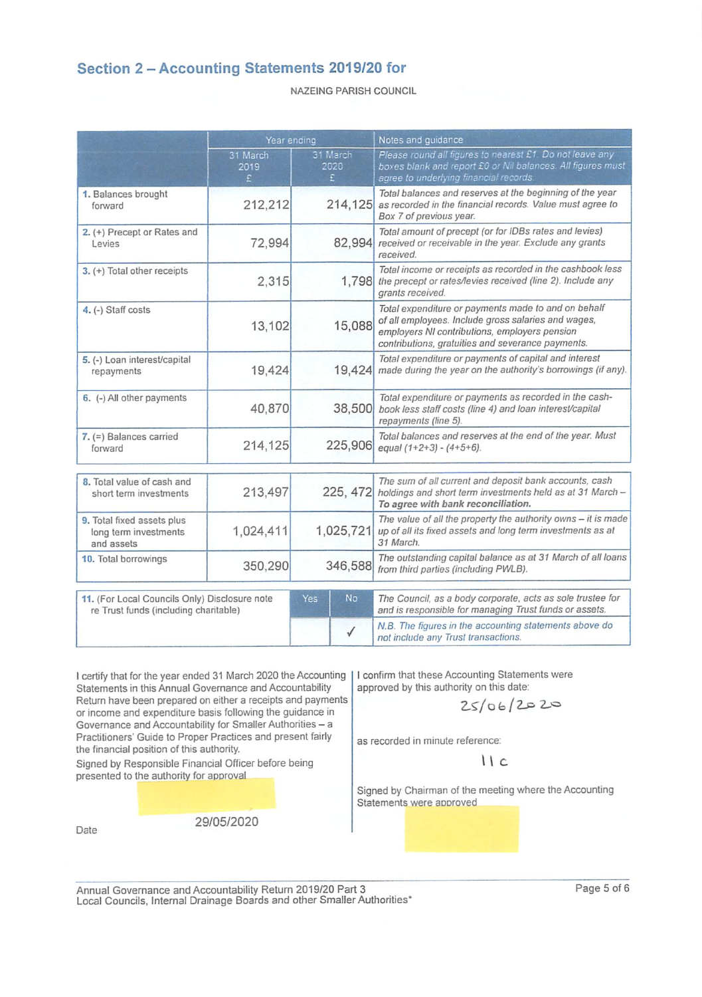# Section 2-Accounting Statements 2019/20 for

NAZEING PARISH COUNCIL

|                                                                                        | Year ending           |                        |           | Notes and quidance<br>Please round all figures to nearest £1. Do not leave any<br>boxes blank and report £0 or Nil balances. All figures must<br>agree to underlying financial records.                          |  |  |
|----------------------------------------------------------------------------------------|-----------------------|------------------------|-----------|------------------------------------------------------------------------------------------------------------------------------------------------------------------------------------------------------------------|--|--|
|                                                                                        | 31 March<br>2019<br>£ | 31 March<br>2020<br>₽. |           |                                                                                                                                                                                                                  |  |  |
| 1. Balances brought<br>forward                                                         | 212,212               | 214,125                |           | Total balances and reserves at the beginning of the year<br>as recorded in the financial records. Value must agree to<br>Box 7 of previous year.                                                                 |  |  |
| 2. (+) Precept or Rates and<br>Levies                                                  | 72,994                | 82,994                 |           | Total amount of precept (or for IDBs rates and levies)<br>received or receivable in the year. Exclude any grants<br>received.                                                                                    |  |  |
| $3. (+)$ Total other receipts                                                          | 2,315                 | 1,798                  |           | Total income or receipts as recorded in the cashbook less<br>the precept or rates/levies received (line 2). Include any<br>grants received.                                                                      |  |  |
| 4. (-) Staff costs                                                                     | 13,102                | 15,088                 |           | Total expenditure or payments made to and on behalf<br>of all employees. Include gross salaries and wages,<br>employers NI contributions, employers pension<br>contributions, gratuities and severance payments. |  |  |
| 5. (-) Loan interest/capital<br>repayments                                             | 19,424                | 19,424                 |           | Total expenditure or payments of capital and interest<br>made during the year on the authority's borrowings (if any).                                                                                            |  |  |
| 6. (-) All other payments                                                              | 40,870                | 38,500                 |           | Total expenditure or payments as recorded in the cash-<br>book less staff costs (line 4) and loan interest/capital<br>repayments (line 5).                                                                       |  |  |
| $7. (=)$ Balances carried<br>forward                                                   | 214,125               | 225,906                |           | Total balances and reserves at the end of the year. Must<br>equal $(1+2+3) - (4+5+6)$ .                                                                                                                          |  |  |
| 8. Total value of cash and<br>short term investments                                   | 213,497               | 225, 472               |           | The sum of all current and deposit bank accounts, cash<br>holdings and short term investments held as at 31 March -<br>To agree with bank reconciliation.                                                        |  |  |
| 9. Total fixed assets plus<br>long term investments<br>and assets                      | 1,024,411             | 1,025,721              |           | The value of all the property the authority owns - it is made<br>up of all its fixed assets and long term investments as at<br>31 March.                                                                         |  |  |
| 10. Total borrowings                                                                   | 350,290               | 346,588                |           | The outstanding capital balance as at 31 March of all loans<br>from third parties (including PWLB).                                                                                                              |  |  |
| 11. (For Local Councils Only) Disclosure note<br>re Trust funds (including charitable) |                       | <b>Yes</b>             | <b>No</b> | The Council, as a body corporate, acts as sole trustee for<br>and is responsible for managing Trust funds or assets.                                                                                             |  |  |
|                                                                                        |                       |                        | √         | N.B. The figures in the accounting statements above do<br>not include any Trust transactions.                                                                                                                    |  |  |

I certify that for the year ended 31 March 2020 the Accounting Statements in this Annual Governance and Accountability Return have been prepared on either a receipts and payments or income and expenditure basis following the guidance in Governance and Accountability for Smaller Authorities - a Practitioners' Guide to Proper Practices and present fairly the financial position of this authority.

Signed by Responsible Financial Officer before being presented to the authority for approval

Date

29/05/2020

I confirm that these Accounting Statements were approved by this authority on this date:

 $25/06/2020$ 

as recorded in minute reference:

 $\cup$ 

Signed by Chairman of the meeting where the Accounting Statements were aooroved

Annual Governance and Accountability Return 2019/20 Part 3 Local Councils. Internal Drainage Boards and other Smaller Authorities\*